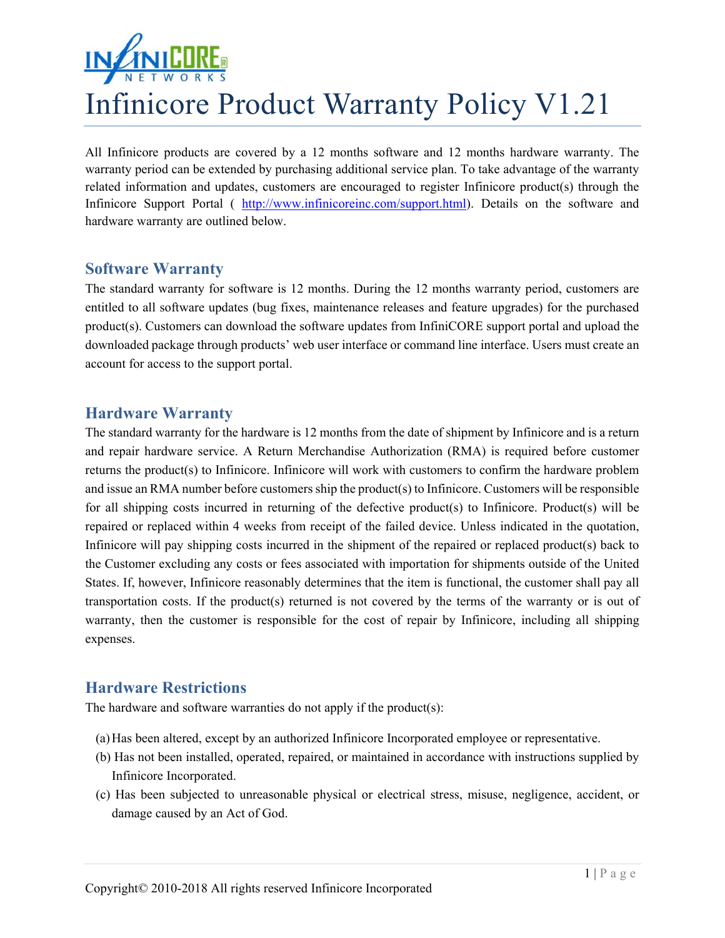

All Infinicore products are covered by a 12 months software and 12 months hardware warranty. The warranty period can be extended by purchasing additional service plan. To take advantage of the warranty related information and updates, customers are encouraged to register Infinicore product(s) through the Infinicore Support Portal ( http://www.infinicoreinc.com/support.html). Details on the software and hardware warranty are outlined below.

## **Software Warranty**

The standard warranty for software is 12 months. During the 12 months warranty period, customers are entitled to all software updates (bug fixes, maintenance releases and feature upgrades) for the purchased product(s). Customers can download the software updates from InfiniCORE support portal and upload the downloaded package through products' web user interface or command line interface. Users must create an account for access to the support portal.

## **Hardware Warranty**

The standard warranty for the hardware is 12 months from the date of shipment by Infinicore and is a return and repair hardware service. A Return Merchandise Authorization (RMA) is required before customer returns the product(s) to Infinicore. Infinicore will work with customers to confirm the hardware problem and issue an RMA number before customers ship the product(s) to Infinicore. Customers will be responsible for all shipping costs incurred in returning of the defective product(s) to Infinicore. Product(s) will be repaired or replaced within 4 weeks from receipt of the failed device. Unless indicated in the quotation, Infinicore will pay shipping costs incurred in the shipment of the repaired or replaced product(s) back to the Customer excluding any costs or fees associated with importation for shipments outside of the United States. If, however, Infinicore reasonably determines that the item is functional, the customer shall pay all transportation costs. If the product(s) returned is not covered by the terms of the warranty or is out of warranty, then the customer is responsible for the cost of repair by Infinicore, including all shipping expenses.

## **Hardware Restrictions**

The hardware and software warranties do not apply if the product(s):

- (a)Has been altered, except by an authorized Infinicore Incorporated employee or representative.
- (b) Has not been installed, operated, repaired, or maintained in accordance with instructions supplied by Infinicore Incorporated.
- (c) Has been subjected to unreasonable physical or electrical stress, misuse, negligence, accident, or damage caused by an Act of God.